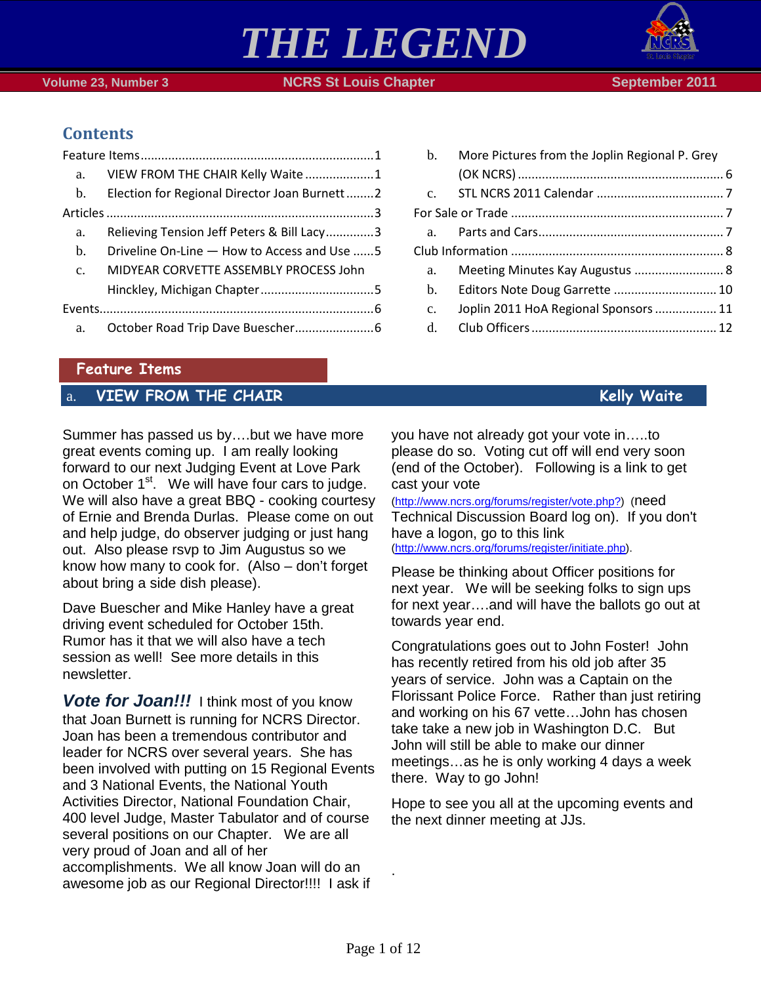



# **Contents**

| a.             | VIEW FROM THE CHAIR Kelly Waite 1            |  |
|----------------|----------------------------------------------|--|
| $\mathbf{b}$ . | Election for Regional Director Joan Burnett2 |  |
|                |                                              |  |
| a.             | Relieving Tension Jeff Peters & Bill Lacy3   |  |
| b.             | Driveline On-Line - How to Access and Use 5  |  |
| C <sub>1</sub> | MIDYEAR CORVETTE ASSEMBLY PROCESS John       |  |
|                |                                              |  |
|                |                                              |  |
| a.             |                                              |  |

| a.             | Meeting Minutes Kay Augustus  8       |  |
|----------------|---------------------------------------|--|
|                |                                       |  |
| C <sub>1</sub> | Joplin 2011 HoA Regional Sponsors  11 |  |
| $d_{\perp}$    |                                       |  |
|                |                                       |  |
|                |                                       |  |

b. [More Pictures from the Joplin Regional P. Grey](#page-5-2) 

## <span id="page-0-0"></span>**Feature Items**

## <span id="page-0-1"></span>a. **VIEW FROM THE CHAIR Kelly Waite**

Summer has passed us by….but we have more great events coming up. I am really looking forward to our next Judging Event at Love Park on October  $1<sup>st</sup>$ . We will have four cars to judge. We will also have a great BBQ - cooking courtesy of Ernie and Brenda Durlas. Please come on out and help judge, do observer judging or just hang out. Also please rsvp to Jim Augustus so we know how many to cook for. (Also – don't forget about bring a side dish please).

Dave Buescher and Mike Hanley have a great driving event scheduled for October 15th. Rumor has it that we will also have a tech session as well! See more details in this newsletter.

**Vote for Joan!!!** I think most of you know that Joan Burnett is running for NCRS Director. Joan has been a tremendous contributor and leader for NCRS over several years. She has been involved with putting on 15 Regional Events and 3 National Events, the National Youth Activities Director, National Foundation Chair, 400 level Judge, Master Tabulator and of course several positions on our Chapter. We are all very proud of Joan and all of her accomplishments. We all know Joan will do an awesome job as our Regional Director!!!! I ask if

you have not already got your vote in…..to please do so. Voting cut off will end very soon (end of the October). Following is a link to get cast your vote

[\(http://www.ncrs.org/forums/register/vote.php?\)](http://www.ncrs.org/forums/register/vote.php?) (need Technical Discussion Board log on). If you don't have a logon, go to this link [\(http://www.ncrs.org/forums/register/initiate.php\)](http://www.ncrs.org/forums/register/initiate.php).

Please be thinking about Officer positions for next year. We will be seeking folks to sign ups for next year….and will have the ballots go out at towards year end.

Congratulations goes out to John Foster! John has recently retired from his old job after 35 years of service. John was a Captain on the Florissant Police Force. Rather than just retiring and working on his 67 vette…John has chosen take take a new job in Washington D.C. But John will still be able to make our dinner meetings…as he is only working 4 days a week there. Way to go John!

Hope to see you all at the upcoming events and the next dinner meeting at JJs.

.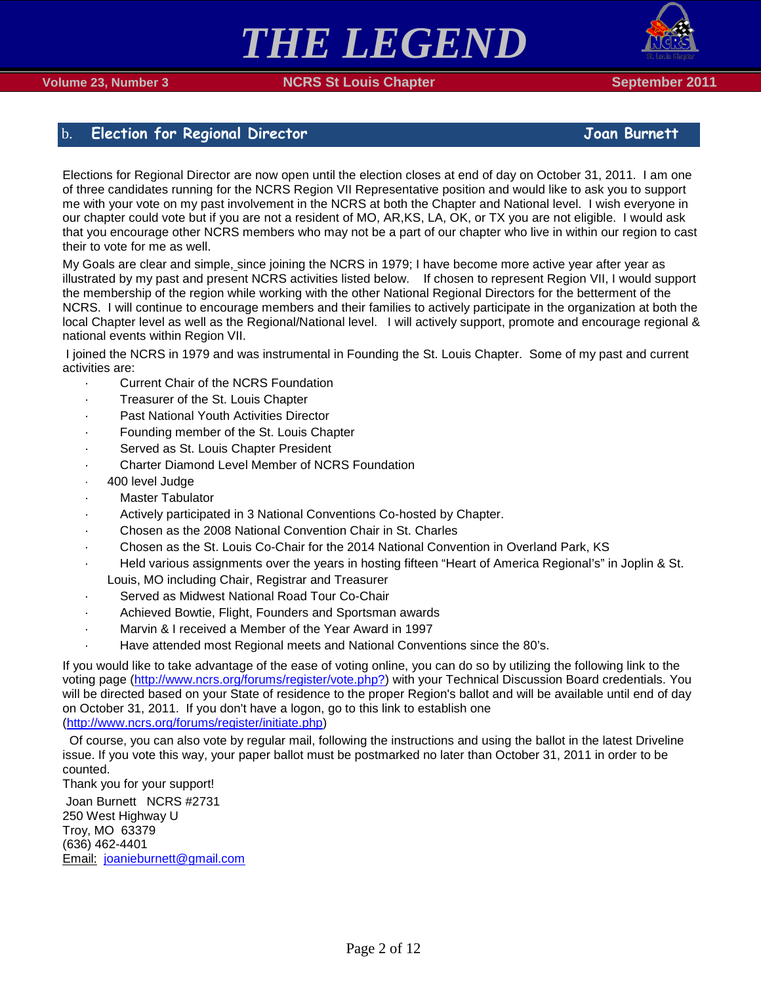

# <span id="page-1-0"></span>b. **Election for Regional Director Joan Burnett**

Elections for Regional Director are now open until the election closes at end of day on October 31, 2011. I am one of three candidates running for the NCRS Region VII Representative position and would like to ask you to support me with your vote on my past involvement in the NCRS at both the Chapter and National level. I wish everyone in our chapter could vote but if you are not a resident of MO, AR,KS, LA, OK, or TX you are not eligible. I would ask that you encourage other NCRS members who may not be a part of our chapter who live in within our region to cast their to vote for me as well.

My Goals are clear and simple, since joining the NCRS in 1979; I have become more active year after year as illustrated by my past and present NCRS activities listed below. If chosen to represent Region VII, I would support the membership of the region while working with the other National Regional Directors for the betterment of the NCRS. I will continue to encourage members and their families to actively participate in the organization at both the local Chapter level as well as the Regional/National level. I will actively support, promote and encourage regional & national events within Region VII.

I joined the NCRS in 1979 and was instrumental in Founding the St. Louis Chapter. Some of my past and current activities are:

- · Current Chair of the NCRS Foundation
- Treasurer of the St. Louis Chapter
- Past National Youth Activities Director
- Founding member of the St. Louis Chapter
- Served as St. Louis Chapter President
- Charter Diamond Level Member of NCRS Foundation
- · 400 level Judge
- **Master Tabulator**
- Actively participated in 3 National Conventions Co-hosted by Chapter.
- · Chosen as the 2008 National Convention Chair in St. Charles
- · Chosen as the St. Louis Co-Chair for the 2014 National Convention in Overland Park, KS
- · Held various assignments over the years in hosting fifteen "Heart of America Regional's" in Joplin & St. Louis, MO including Chair, Registrar and Treasurer
- Served as Midwest National Road Tour Co-Chair
- Achieved Bowtie, Flight, Founders and Sportsman awards
- Marvin & I received a Member of the Year Award in 1997
- · Have attended most Regional meets and National Conventions since the 80's.

If you would like to take advantage of the ease of voting online, you can do so by utilizing the following link to the voting page [\(http://www.ncrs.org/forums/register/vote.php?\)](http://www.ncrs.org/forums/register/vote.php?) with your Technical Discussion Board credentials. You will be directed based on your State of residence to the proper Region's ballot and will be available until end of day on October 31, 2011. If you don't have a logon, go to this link to establish one [\(http://www.ncrs.org/forums/register/initiate.php\)](http://www.ncrs.org/forums/register/initiate.php)

 Of course, you can also vote by regular mail, following the instructions and using the ballot in the latest Driveline issue. If you vote this way, your paper ballot must be postmarked no later than October 31, 2011 in order to be counted.

Thank you for your support!

Joan Burnett NCRS #2731 250 West Highway U Troy, MO 63379 (636) 462-4401 Email: [joanieburnett@gmail.com](mailto:joanieburnett@gmail.com)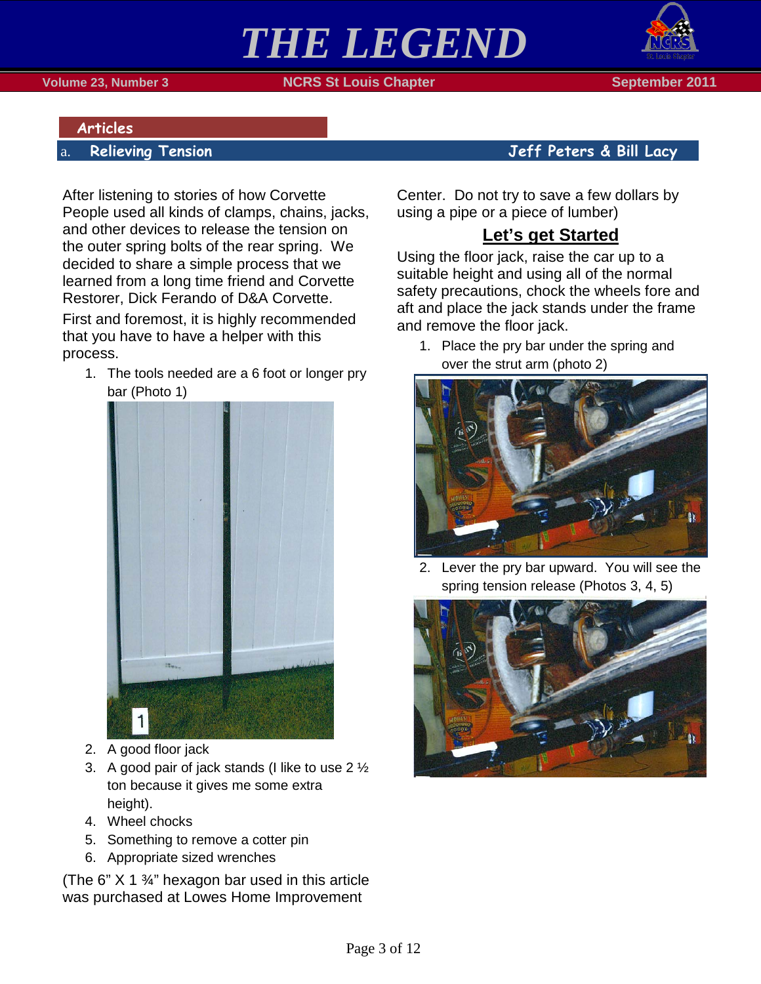

### <span id="page-2-1"></span><span id="page-2-0"></span>**Articles**

After listening to stories of how Corvette People used all kinds of clamps, chains, jacks, and other devices to release the tension on the outer spring bolts of the rear spring. We decided to share a simple process that we learned from a long time friend and Corvette Restorer, Dick Ferando of D&A Corvette.

First and foremost, it is highly recommended that you have to have a helper with this process.

1. The tools needed are a 6 foot or longer pry bar (Photo 1)



- 2. A good floor jack
- 3. A good pair of jack stands (I like to use 2 ½ ton because it gives me some extra height).
- 4. Wheel chocks
- 5. Something to remove a cotter pin
- 6. Appropriate sized wrenches

(The 6"  $X$  1  $\frac{3}{4}$ " hexagon bar used in this article was purchased at Lowes Home Improvement

## a. **Relieving Tension Jeff Peters & Bill Lacy**

Center. Do not try to save a few dollars by using a pipe or a piece of lumber)

# **Let's get Started**

Using the floor jack, raise the car up to a suitable height and using all of the normal safety precautions, chock the wheels fore and aft and place the jack stands under the frame and remove the floor jack.

1. Place the pry bar under the spring and over the strut arm (photo 2)



2. Lever the pry bar upward. You will see the spring tension release (Photos 3, 4, 5)

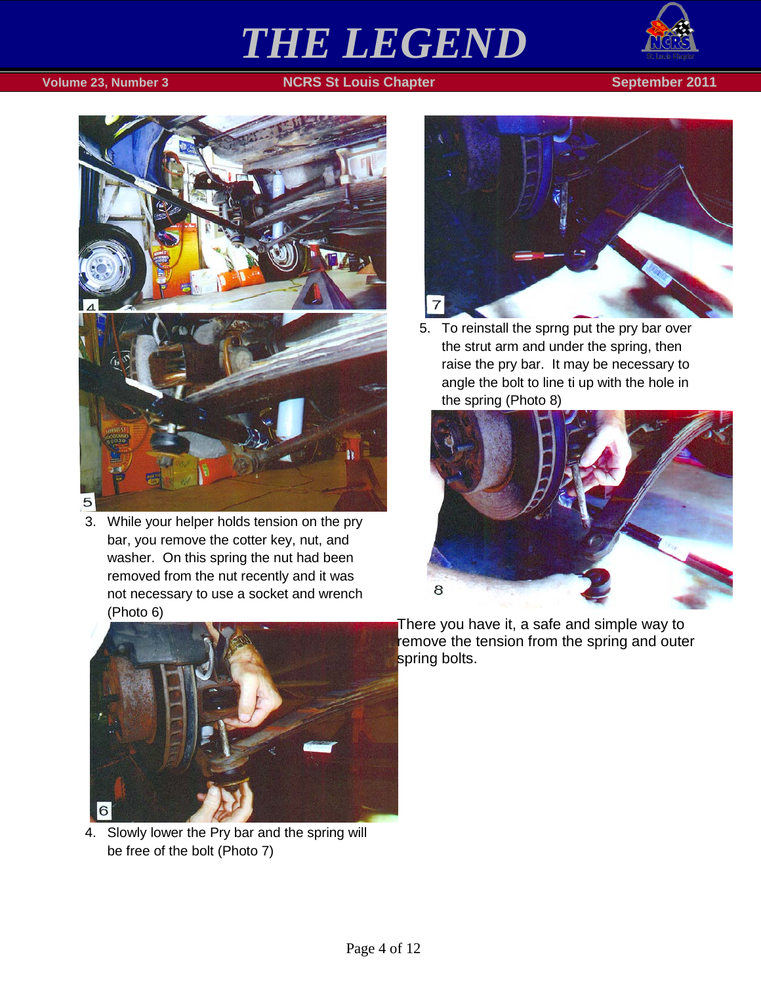



3. While your helper holds tension on the pry bar, you remove the cotter key, nut, and washer. On this spring the nut had been removed from the nut recently and it was not necessary to use a socket and wrench (Photo 6)



5. To reinstall the sprng put the pry bar over the strut arm and under the spring, then raise the pry bar. It may be necessary to angle the bolt to line ti up with the hole in the spring (Photo 8)





4. Slowly lower the Pry bar and the spring will be free of the bolt (Photo 7)

There you have it, a safe and simple way to remove the tension from the spring and outer spring bolts.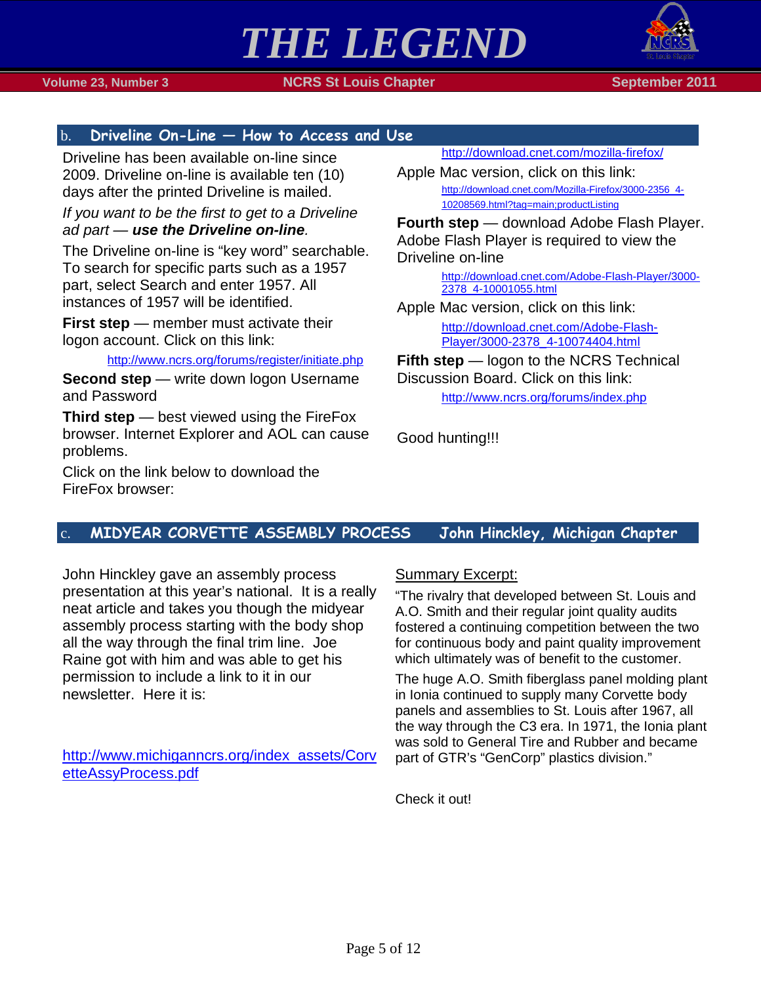

 **Volume 23, Number 3 NCRS St Louis Chapter September 2011**

## <span id="page-4-0"></span>b. **Driveline On-Line — How to Access and Use**

Driveline has been available on-line since 2009. Driveline on-line is available ten (10) days after the printed Driveline is mailed.

*If you want to be the first to get to a Driveline ad part — use the Driveline on-line.*

The Driveline on-line is "key word" searchable. To search for specific parts such as a 1957 part, select Search and enter 1957. All instances of 1957 will be identified.

**First step** — member must activate their logon account. Click on this link:

<http://www.ncrs.org/forums/register/initiate.php>

**Second step** — write down logon Username and Password

**Third step** — best viewed using the FireFox browser. Internet Explorer and AOL can cause problems.

Click on the link below to download the FireFox browser:

<http://download.cnet.com/mozilla-firefox/>

Apple Mac version, click on this link: [http://download.cnet.com/Mozilla-Firefox/3000-2356\\_4-](http://download.cnet.com/Mozilla-Firefox/3000-2356_4-) [10208569.html?tag=main;productListing](http://download.cnet.com/Mozilla-Firefox/3000-2356_4-)

**Fourth step** — download Adobe Flash Player. Adobe Flash Player is required to view the Driveline on-line

> [http://download.cnet.com/Adobe-Flash-Player/3000-](http://download.cnet.com/Adobe-Flash-Player/3000-2378_4-10001055.html) [2378\\_4-10001055.html](http://download.cnet.com/Adobe-Flash-Player/3000-2378_4-10001055.html)

Apple Mac version, click on this link:

[http://download.cnet.com/Adobe-Flash-](http://download.cnet.com/Adobe-Flash-Player/3000-2378_4-10074404.html)[Player/3000-2378\\_4-10074404.html](http://download.cnet.com/Adobe-Flash-Player/3000-2378_4-10074404.html)

**Fifth step** — logon to the NCRS Technical Discussion Board. Click on this link:

<http://www.ncrs.org/forums/index.php>

Good hunting!!!

## <span id="page-4-1"></span>c. **MIDYEAR CORVETTE ASSEMBLY PROCESS John Hinckley, Michigan Chapter**

John Hinckley gave an assembly process presentation at this year's national. It is a really neat article and takes you though the midyear assembly process starting with the body shop all the way through the final trim line. Joe Raine got with him and was able to get his permission to include a link to it in our newsletter. Here it is:

[http://www.michiganncrs.org/index\\_assets/Corv](http://www.michiganncrs.org/index_assets/CorvetteAssyProcess.pdf) [etteAssyProcess.pdf](http://www.michiganncrs.org/index_assets/CorvetteAssyProcess.pdf)

### Summary Excerpt:

"The rivalry that developed between St. Louis and A.O. Smith and their regular joint quality audits fostered a continuing competition between the two for continuous body and paint quality improvement which ultimately was of benefit to the customer.

The huge A.O. Smith fiberglass panel molding plant in Ionia continued to supply many Corvette body panels and assemblies to St. Louis after 1967, all the way through the C3 era. In 1971, the Ionia plant was sold to General Tire and Rubber and became part of GTR's "GenCorp" plastics division."

Check it out!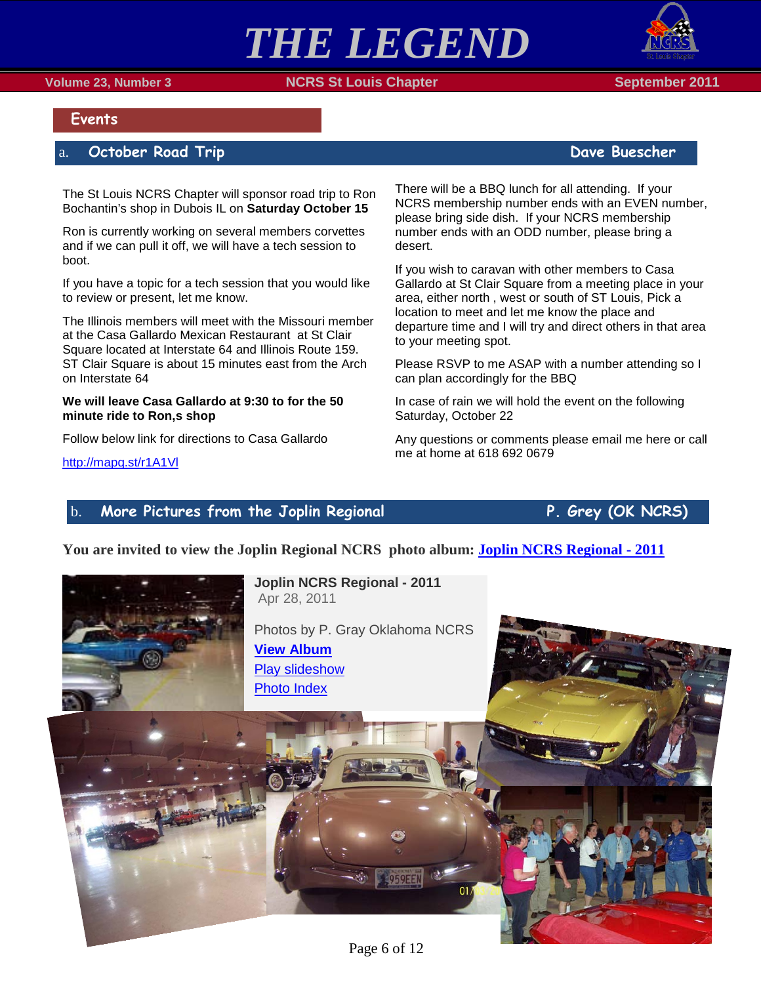





### <span id="page-5-0"></span>**Events**

### <span id="page-5-1"></span>a. **October Road Trip Dave Buescher**

The St Louis NCRS Chapter will sponsor road trip to Ron Bochantin's shop in Dubois IL on **Saturday October 15**

Ron is currently working on several members corvettes and if we can pull it off, we will have a tech session to boot.

If you have a topic for a tech session that you would like to review or present, let me know.

The Illinois members will meet with the Missouri member at the Casa Gallardo Mexican Restaurant at St Clair Square located at Interstate 64 and Illinois Route 159. ST Clair Square is about 15 minutes east from the Arch on Interstate 64

#### **We will leave Casa Gallardo at 9:30 to for the 50 minute ride to Ron,s shop**

Follow below link for directions to Casa Gallardo

<http://mapq.st/r1A1Vl>

There will be a BBQ lunch for all attending. If your NCRS membership number ends with an EVEN number, please bring side dish. If your NCRS membership number ends with an ODD number, please bring a desert.

If you wish to caravan with other members to Casa Gallardo at St Clair Square from a meeting place in your area, either north , west or south of ST Louis, Pick a location to meet and let me know the place and departure time and I will try and direct others in that area to your meeting spot.

Please RSVP to me ASAP with a number attending so I can plan accordingly for the BBQ

In case of rain we will hold the event on the following Saturday, October 22

Any questions or comments please email me here or call me at home at 618 692 0679

### <span id="page-5-2"></span>b. **More Pictures from the Joplin Regional P. Grey (OK NCRS)**

**You are invited to view the Joplin Regional NCRS photo album: [Joplin NCRS Regional -](https://picasaweb.google.com/lh/sredir?uname=DougandCherie&target=ALBUM&id=5661517646149815057&authkey=Gv1sRgCNeF_b6T5__9UQ&feat=email) 2011**



**Joplin NCRS Regional - 2011** Apr 28, 2011

Photos by P. Gray Oklahoma NCRS **[View Album](https://picasaweb.google.com/lh/sredir?uname=DougandCherie&target=ALBUM&id=5661517646149815057&authkey=Gv1sRgCNeF_b6T5__9UQ&feat=email)** [Play slideshow](https://picasaweb.google.com/lh/sredir?uname=DougandCherie&target=ALBUM&id=5661517646149815057&authkey=Gv1sRgCNeF_b6T5__9UQ&feat=email&mode=SLIDESHOW)

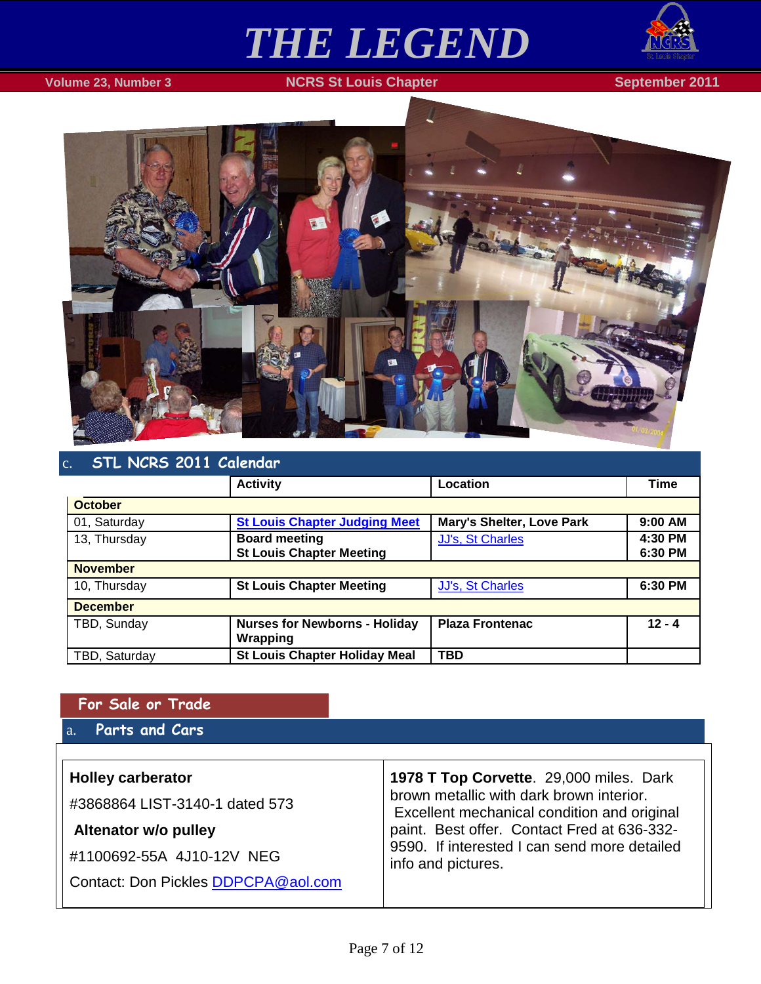

## **Volume 23, Number 3 NCRS St Louis Chapter September 2011**



# <span id="page-6-0"></span>c. **STL NCRS 2011 Calendar**

|                 | <b>Activity</b>                      | Location                  | <b>Time</b> |  |
|-----------------|--------------------------------------|---------------------------|-------------|--|
| <b>October</b>  |                                      |                           |             |  |
| 01, Saturday    | <b>St Louis Chapter Judging Meet</b> | Mary's Shelter, Love Park | 9:00 AM     |  |
| 13, Thursday    | <b>Board meeting</b>                 | <b>JJ's, St Charles</b>   | 4:30 PM     |  |
|                 | <b>St Louis Chapter Meeting</b>      |                           | 6:30 PM     |  |
| <b>November</b> |                                      |                           |             |  |
| 10, Thursday    | <b>St Louis Chapter Meeting</b>      | JJ's, St Charles          | 6:30 PM     |  |
| <b>December</b> |                                      |                           |             |  |
| TBD, Sunday     | <b>Nurses for Newborns - Holiday</b> | <b>Plaza Frontenac</b>    | $12 - 4$    |  |
|                 | Wrapping                             |                           |             |  |
| TBD, Saturday   | <b>St Louis Chapter Holiday Meal</b> | <b>TBD</b>                |             |  |

## <span id="page-6-1"></span>**For Sale or Trade**

# <span id="page-6-2"></span>a. **Parts and Cars**

| <b>Holley carberator</b><br>#3868864 LIST-3140-1 dated 573<br>Altenator w/o pulley<br>#1100692-55A 4J10-12V NEG | 1978 T Top Corvette. 29,000 miles. Dark<br>brown metallic with dark brown interior.<br>Excellent mechanical condition and original<br>paint. Best offer. Contact Fred at 636-332-<br>9590. If interested I can send more detailed<br>info and pictures. |
|-----------------------------------------------------------------------------------------------------------------|---------------------------------------------------------------------------------------------------------------------------------------------------------------------------------------------------------------------------------------------------------|
| Contact: Don Pickles DDPCPA@aol.com                                                                             |                                                                                                                                                                                                                                                         |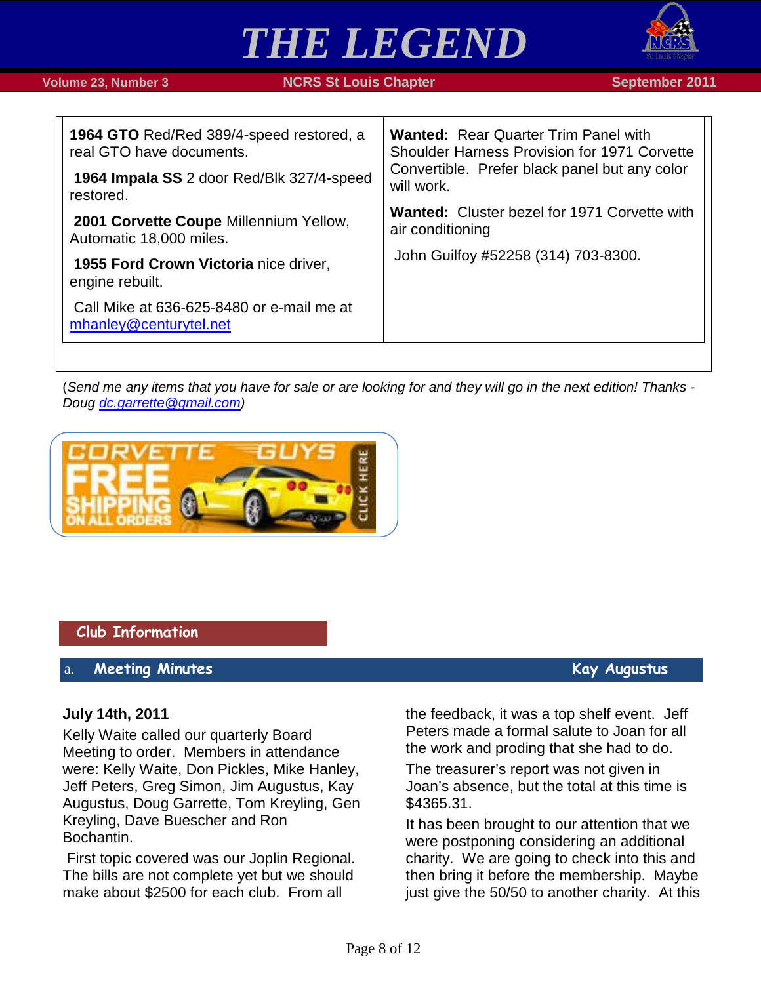

| <b>1964 GTO Red/Red 389/4-speed restored, a</b><br>real GTO have documents. | <b>Wanted: Rear Quarter Trim Panel with</b><br><b>Shoulder Harness Provision for 1971 Corvette</b><br>Convertible. Prefer black panel but any color<br>will work. |  |
|-----------------------------------------------------------------------------|-------------------------------------------------------------------------------------------------------------------------------------------------------------------|--|
| 1964 Impala SS 2 door Red/Blk 327/4-speed<br>restored.                      |                                                                                                                                                                   |  |
| 2001 Corvette Coupe Millennium Yellow,<br>Automatic 18,000 miles.           | <b>Wanted: Cluster bezel for 1971 Corvette with</b><br>air conditioning                                                                                           |  |
| 1955 Ford Crown Victoria nice driver,<br>engine rebuilt.                    | John Guilfoy #52258 (314) 703-8300.                                                                                                                               |  |
| Call Mike at 636-625-8480 or e-mail me at<br>mhanley@centurytel.net         |                                                                                                                                                                   |  |

(*Send me any items that you have for sale or are looking for and they will go in the next edition! Thanks - Doug [dc.garrette@gmail.com\)](mailto:dc.garrette@gmail.com)*



### <span id="page-7-0"></span>**Club Information**

### <span id="page-7-1"></span>a. **Meeting Minutes Kay Augustus**

### **July 14th, 2011**

Kelly Waite called our quarterly Board Meeting to order. Members in attendance were: Kelly Waite, Don Pickles, Mike Hanley, Jeff Peters, Greg Simon, Jim Augustus, Kay Augustus, Doug Garrette, Tom Kreyling, Gen Kreyling, Dave Buescher and Ron Bochantin.

First topic covered was our Joplin Regional. The bills are not complete yet but we should make about \$2500 for each club. From all

the feedback, it was a top shelf event. Jeff Peters made a formal salute to Joan for all the work and proding that she had to do.

The treasurer's report was not given in Joan's absence, but the total at this time is \$4365.31.

It has been brought to our attention that we were postponing considering an additional charity. We are going to check into this and then bring it before the membership. Maybe just give the 50/50 to another charity. At this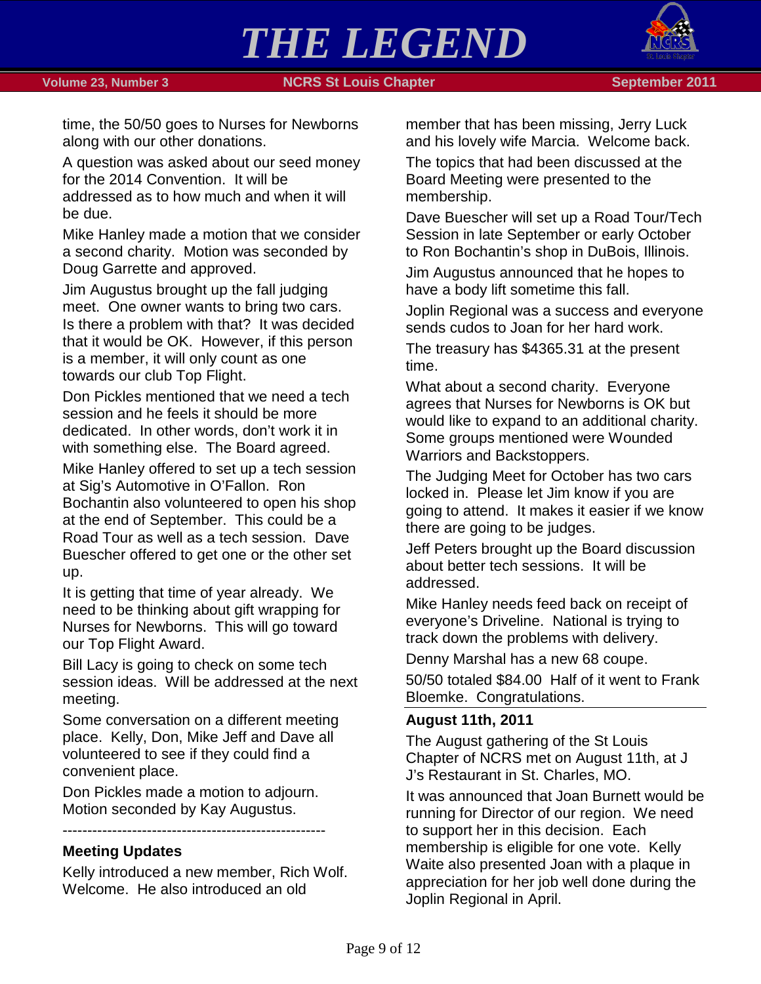



time, the 50/50 goes to Nurses for Newborns along with our other donations.

A question was asked about our seed money for the 2014 Convention. It will be addressed as to how much and when it will be due.

Mike Hanley made a motion that we consider a second charity. Motion was seconded by Doug Garrette and approved.

Jim Augustus brought up the fall judging meet. One owner wants to bring two cars. Is there a problem with that? It was decided that it would be OK. However, if this person is a member, it will only count as one towards our club Top Flight.

Don Pickles mentioned that we need a tech session and he feels it should be more dedicated. In other words, don't work it in with something else. The Board agreed.

Mike Hanley offered to set up a tech session at Sig's Automotive in O'Fallon. Ron Bochantin also volunteered to open his shop at the end of September. This could be a Road Tour as well as a tech session. Dave Buescher offered to get one or the other set up.

It is getting that time of year already. We need to be thinking about gift wrapping for Nurses for Newborns. This will go toward our Top Flight Award.

Bill Lacy is going to check on some tech session ideas. Will be addressed at the next meeting.

Some conversation on a different meeting place. Kelly, Don, Mike Jeff and Dave all volunteered to see if they could find a convenient place.

Don Pickles made a motion to adjourn. Motion seconded by Kay Augustus.

-----------------------------------------------------

## **Meeting Updates**

Kelly introduced a new member, Rich Wolf. Welcome. He also introduced an old

member that has been missing, Jerry Luck and his lovely wife Marcia. Welcome back.

The topics that had been discussed at the Board Meeting were presented to the membership.

Dave Buescher will set up a Road Tour/Tech Session in late September or early October to Ron Bochantin's shop in DuBois, Illinois.

Jim Augustus announced that he hopes to have a body lift sometime this fall.

Joplin Regional was a success and everyone sends cudos to Joan for her hard work.

The treasury has \$4365.31 at the present time.

What about a second charity. Everyone agrees that Nurses for Newborns is OK but would like to expand to an additional charity. Some groups mentioned were Wounded Warriors and Backstoppers.

The Judging Meet for October has two cars locked in. Please let Jim know if you are going to attend. It makes it easier if we know there are going to be judges.

Jeff Peters brought up the Board discussion about better tech sessions. It will be addressed.

Mike Hanley needs feed back on receipt of everyone's Driveline. National is trying to track down the problems with delivery.

Denny Marshal has a new 68 coupe.

50/50 totaled \$84.00 Half of it went to Frank Bloemke. Congratulations.

### **August 11th, 2011**

The August gathering of the St Louis Chapter of NCRS met on August 11th, at J J's Restaurant in St. Charles, MO.

It was announced that Joan Burnett would be running for Director of our region. We need to support her in this decision. Each membership is eligible for one vote. Kelly Waite also presented Joan with a plaque in appreciation for her job well done during the Joplin Regional in April.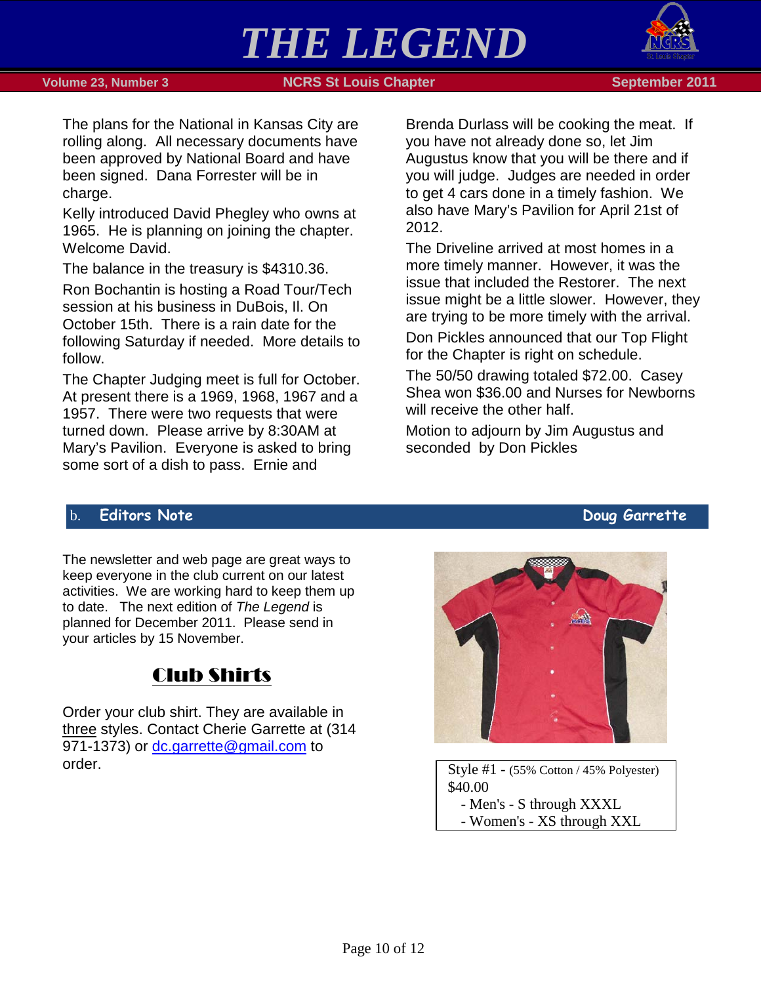



The plans for the National in Kansas City are rolling along. All necessary documents have been approved by National Board and have been signed. Dana Forrester will be in charge.

Kelly introduced David Phegley who owns at 1965. He is planning on joining the chapter. Welcome David.

The balance in the treasury is \$4310.36.

Ron Bochantin is hosting a Road Tour/Tech session at his business in DuBois, Il. On October 15th. There is a rain date for the following Saturday if needed. More details to follow.

The Chapter Judging meet is full for October. At present there is a 1969, 1968, 1967 and a 1957. There were two requests that were turned down. Please arrive by 8:30AM at Mary's Pavilion. Everyone is asked to bring some sort of a dish to pass. Ernie and

Brenda Durlass will be cooking the meat. If you have not already done so, let Jim Augustus know that you will be there and if you will judge. Judges are needed in order to get 4 cars done in a timely fashion. We also have Mary's Pavilion for April 21st of 2012.

The Driveline arrived at most homes in a more timely manner. However, it was the issue that included the Restorer. The next issue might be a little slower. However, they are trying to be more timely with the arrival.

Don Pickles announced that our Top Flight for the Chapter is right on schedule.

The 50/50 drawing totaled \$72.00. Casey Shea won \$36.00 and Nurses for Newborns will receive the other half.

Motion to adjourn by Jim Augustus and seconded by Don Pickles

## <span id="page-9-0"></span>b. **Editors Note Doug Garrette**

The newsletter and web page are great ways to keep everyone in the club current on our latest activities. We are working hard to keep them up to date. The next edition of *The Legend* is planned for December 2011. Please send in your articles by 15 November.

# Club Shirts

Order your club shirt. They are available in three styles. Contact Cherie Garrette at (314 971-1373) or [dc.garrette@gmail.com](mailto:dc.garrette@gmail.com) to order. Style #1 - (55% Cotton / 45% Polyester)



\$40.00 - Men's - S through XXXL

- Women's - XS through XXL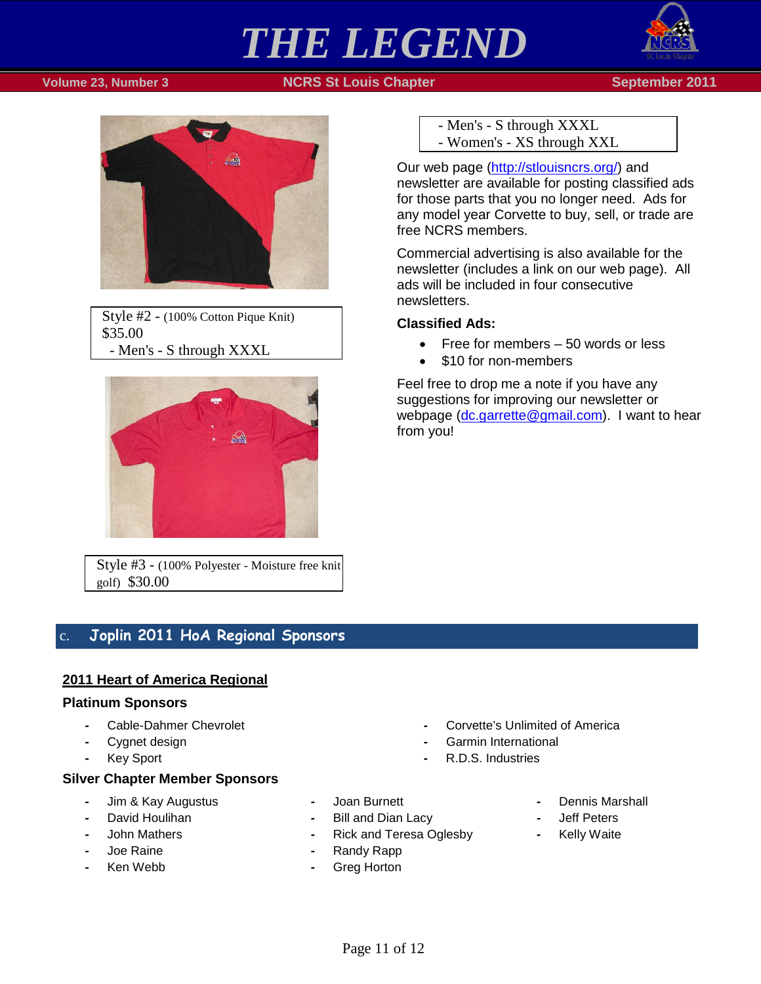

#### **Volume 23, Number 3 NGRS St Louis Chapter September 2011**



Style #2 - (100% Cotton Pique Knit) \$35.00 - Men's - S through XXXL



Style #3 - (100% Polyester - Moisture free knit golf) \$30.00

## <span id="page-10-0"></span>c. **Joplin 2011 HoA Regional Sponsors**

### **2011 Heart of America Regional**

#### **Platinum Sponsors**

- *-* Cable-Dahmer Chevrolet
- *-* Cygnet design
- *-* Key Sport

#### **Silver Chapter Member Sponsors**

- *-* Jim & Kay Augustus
- *-* David Houlihan
- *-* John Mathers
- *-* Joe Raine
- *-* Ken Webb
- *-* Corvette's Unlimited of America
- *-* Garmin International
- *-* R.D.S. Industries
- *-* Joan Burnett
- *-* Bill and Dian Lacy
- **Rick and Teresa Oglesby**
- *-* Randy Rapp
- *-* Greg Horton
- - *-* Dennis Marshall
	- *-* Jeff Peters
	- *-* Kelly Waite

Page 11 of 12

- Men's - S through XXXL - Women's - XS through XXL

Our web page [\(http://stlouisncrs.org/\)](http://stlouisncrs.org/) and newsletter are available for posting classified ads for those parts that you no longer need. Ads for any model year Corvette to buy, sell, or trade are free NCRS members.

Commercial advertising is also available for the newsletter (includes a link on our web page). All ads will be included in four consecutive newsletters.

### **Classified Ads:**

- Free for members 50 words or less
- \$10 for non-members

Feel free to drop me a note if you have any suggestions for improving our newsletter or webpage [\(dc.garrette@gmail.com\)](mailto:dc.garrette@gmail.com). I want to hear from you!